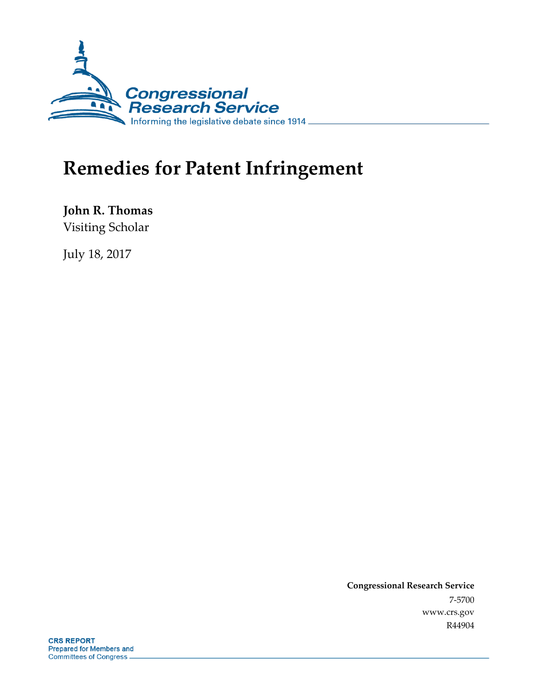

# **Remedies for Patent Infringement**

**John R. Thomas** Visiting Scholar

July 18, 2017

**Congressional Research Service** 7-5700 www.crs.gov R44904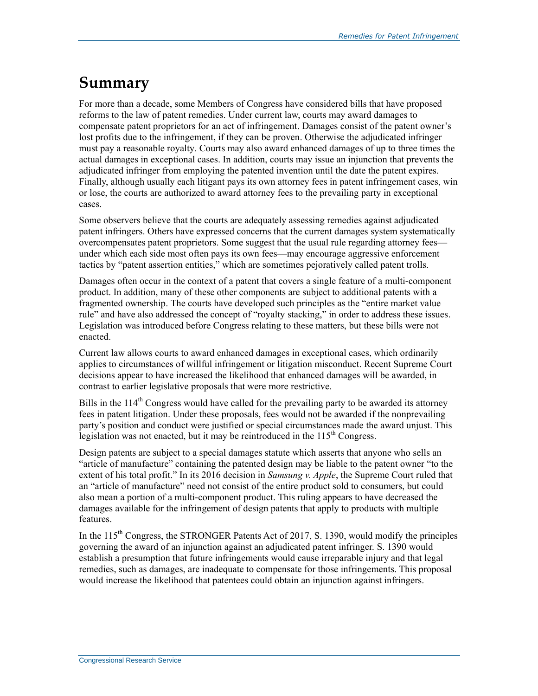# **Summary**

For more than a decade, some Members of Congress have considered bills that have proposed reforms to the law of patent remedies. Under current law, courts may award damages to compensate patent proprietors for an act of infringement. Damages consist of the patent owner's lost profits due to the infringement, if they can be proven. Otherwise the adjudicated infringer must pay a reasonable royalty. Courts may also award enhanced damages of up to three times the actual damages in exceptional cases. In addition, courts may issue an injunction that prevents the adjudicated infringer from employing the patented invention until the date the patent expires. Finally, although usually each litigant pays its own attorney fees in patent infringement cases, win or lose, the courts are authorized to award attorney fees to the prevailing party in exceptional cases.

Some observers believe that the courts are adequately assessing remedies against adjudicated patent infringers. Others have expressed concerns that the current damages system systematically overcompensates patent proprietors. Some suggest that the usual rule regarding attorney fees under which each side most often pays its own fees—may encourage aggressive enforcement tactics by "patent assertion entities," which are sometimes pejoratively called patent trolls.

Damages often occur in the context of a patent that covers a single feature of a multi-component product. In addition, many of these other components are subject to additional patents with a fragmented ownership. The courts have developed such principles as the "entire market value rule" and have also addressed the concept of "royalty stacking," in order to address these issues. Legislation was introduced before Congress relating to these matters, but these bills were not enacted.

Current law allows courts to award enhanced damages in exceptional cases, which ordinarily applies to circumstances of willful infringement or litigation misconduct. Recent Supreme Court decisions appear to have increased the likelihood that enhanced damages will be awarded, in contrast to earlier legislative proposals that were more restrictive.

Bills in the  $114<sup>th</sup>$  Congress would have called for the prevailing party to be awarded its attorney fees in patent litigation. Under these proposals, fees would not be awarded if the nonprevailing party's position and conduct were justified or special circumstances made the award unjust. This legislation was not enacted, but it may be reintroduced in the  $115<sup>th</sup>$  Congress.

Design patents are subject to a special damages statute which asserts that anyone who sells an "article of manufacture" containing the patented design may be liable to the patent owner "to the extent of his total profit." In its 2016 decision in *Samsung v. Apple*, the Supreme Court ruled that an "article of manufacture" need not consist of the entire product sold to consumers, but could also mean a portion of a multi-component product. This ruling appears to have decreased the damages available for the infringement of design patents that apply to products with multiple features.

In the  $115<sup>th</sup>$  Congress, the STRONGER Patents Act of 2017, S. 1390, would modify the principles governing the award of an injunction against an adjudicated patent infringer. S. 1390 would establish a presumption that future infringements would cause irreparable injury and that legal remedies, such as damages, are inadequate to compensate for those infringements. This proposal would increase the likelihood that patentees could obtain an injunction against infringers.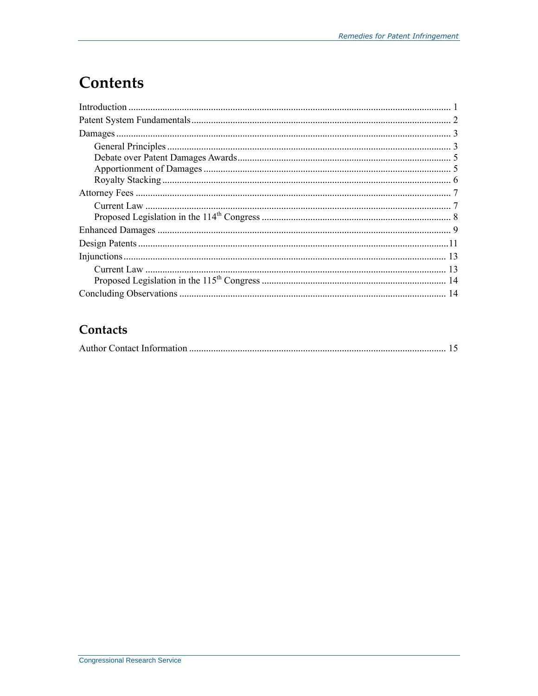# **Contents**

### Contacts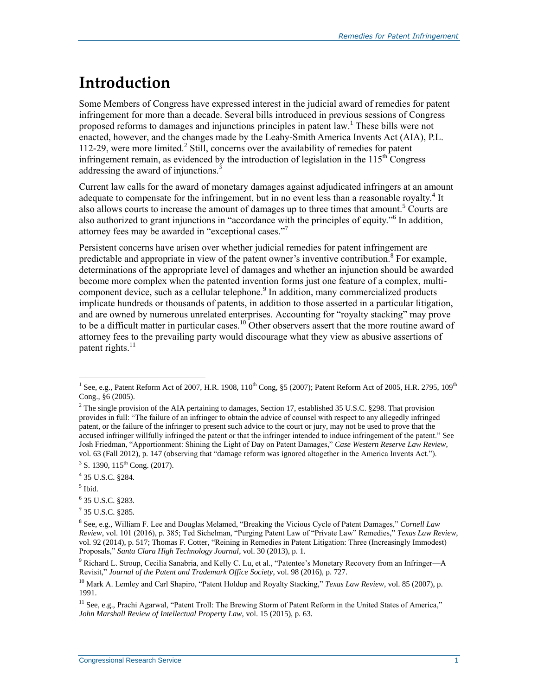# **Introduction**

Some Members of Congress have expressed interest in the judicial award of remedies for patent infringement for more than a decade. Several bills introduced in previous sessions of Congress proposed reforms to damages and injunctions principles in patent law. <sup>1</sup> These bills were not enacted, however, and the changes made by the Leahy-Smith America Invents Act (AIA), P.L. 112-29, were more limited. 2 Still, concerns over the availability of remedies for patent infringement remain, as evidenced by the introduction of legislation in the  $115<sup>th</sup>$  Congress addressing the award of injunctions.<sup>3</sup>

Current law calls for the award of monetary damages against adjudicated infringers at an amount adequate to compensate for the infringement, but in no event less than a reasonable royalty.<sup>4</sup> It also allows courts to increase the amount of damages up to three times that amount.<sup>5</sup> Courts are also authorized to grant injunctions in "accordance with the principles of equity."<sup>6</sup> In addition, attorney fees may be awarded in "exceptional cases."<sup>7</sup>

Persistent concerns have arisen over whether judicial remedies for patent infringement are predictable and appropriate in view of the patent owner's inventive contribution.<sup>8</sup> For example, determinations of the appropriate level of damages and whether an injunction should be awarded become more complex when the patented invention forms just one feature of a complex, multicomponent device, such as a cellular telephone.<sup>9</sup> In addition, many commercialized products implicate hundreds or thousands of patents, in addition to those asserted in a particular litigation, and are owned by numerous unrelated enterprises. Accounting for "royalty stacking" may prove to be a difficult matter in particular cases.<sup>10</sup> Other observers assert that the more routine award of attorney fees to the prevailing party would discourage what they view as abusive assertions of patent rights.<sup>11</sup>

<sup>1&</sup>lt;br><sup>1</sup> See, e.g., Patent Reform Act of 2007, H.R. 1908, 110<sup>th</sup> Cong, §5 (2007); Patent Reform Act of 2005, H.R. 2795, 109<sup>th</sup> Cong., §6 (2005).

 $2$  The single provision of the AIA pertaining to damages, Section 17, established 35 U.S.C. §298. That provision provides in full: "The failure of an infringer to obtain the advice of counsel with respect to any allegedly infringed patent, or the failure of the infringer to present such advice to the court or jury, may not be used to prove that the accused infringer willfully infringed the patent or that the infringer intended to induce infringement of the patent." See Josh Friedman, "Apportionment: Shining the Light of Day on Patent Damages," *Case Western Reserve Law Review*, vol. 63 (Fall 2012), p. 147 (observing that "damage reform was ignored altogether in the America Invents Act.").

 $3$  S. 1390, 115<sup>th</sup> Cong. (2017).

<sup>4</sup> 35 U.S.C. §284.

<sup>5</sup> Ibid.

<sup>6</sup> 35 U.S.C. §283.

 $7$  35 U.S.C. §285.

<sup>8</sup> See, e.g., William F. Lee and Douglas Melamed, "Breaking the Vicious Cycle of Patent Damages," *Cornell Law Review*, vol. 101 (2016), p. 385; Ted Sichelman, "Purging Patent Law of "Private Law" Remedies," *Texas Law Review*, vol. 92 (2014), p. 517; Thomas F. Cotter, "Reining in Remedies in Patent Litigation: Three (Increasingly Immodest) Proposals," *Santa Clara High Technology Journal*, vol. 30 (2013), p. 1.

 $9$  Richard L. Stroup, Cecilia Sanabria, and Kelly C. Lu, et al., "Patentee's Monetary Recovery from an Infringer—A Revisit," *Journal of the Patent and Trademark Office Society*, vol. 98 (2016), p. 727.

<sup>&</sup>lt;sup>10</sup> Mark A. Lemley and Carl Shapiro, "Patent Holdup and Royalty Stacking," *Texas Law Review*, vol. 85 (2007), p. 1991.

<sup>&</sup>lt;sup>11</sup> See, e.g., Prachi Agarwal, "Patent Troll: The Brewing Storm of Patent Reform in the United States of America," *John Marshall Review of Intellectual Property Law*, vol. 15 (2015), p. 63.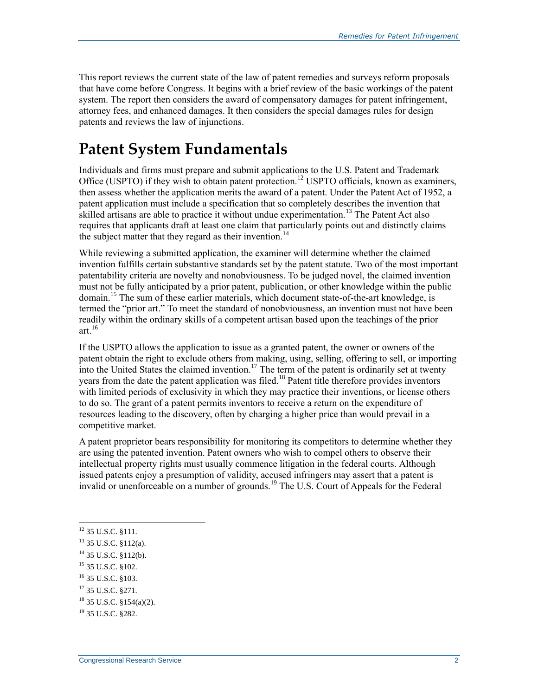This report reviews the current state of the law of patent remedies and surveys reform proposals that have come before Congress. It begins with a brief review of the basic workings of the patent system. The report then considers the award of compensatory damages for patent infringement, attorney fees, and enhanced damages. It then considers the special damages rules for design patents and reviews the law of injunctions.

# **Patent System Fundamentals**

Individuals and firms must prepare and submit applications to the U.S. Patent and Trademark Office (USPTO) if they wish to obtain patent protection.<sup>12</sup> USPTO officials, known as examiners, then assess whether the application merits the award of a patent. Under the Patent Act of 1952, a patent application must include a specification that so completely describes the invention that skilled artisans are able to practice it without undue experimentation.<sup>13</sup> The Patent Act also requires that applicants draft at least one claim that particularly points out and distinctly claims the subject matter that they regard as their invention.<sup>14</sup>

While reviewing a submitted application, the examiner will determine whether the claimed invention fulfills certain substantive standards set by the patent statute. Two of the most important patentability criteria are novelty and nonobviousness. To be judged novel, the claimed invention must not be fully anticipated by a prior patent, publication, or other knowledge within the public domain.<sup>15</sup> The sum of these earlier materials, which document state-of-the-art knowledge, is termed the "prior art." To meet the standard of nonobviousness, an invention must not have been readily within the ordinary skills of a competent artisan based upon the teachings of the prior art $16$ 

If the USPTO allows the application to issue as a granted patent, the owner or owners of the patent obtain the right to exclude others from making, using, selling, offering to sell, or importing into the United States the claimed invention.<sup>17</sup> The term of the patent is ordinarily set at twenty years from the date the patent application was filed.<sup>18</sup> Patent title therefore provides inventors with limited periods of exclusivity in which they may practice their inventions, or license others to do so. The grant of a patent permits inventors to receive a return on the expenditure of resources leading to the discovery, often by charging a higher price than would prevail in a competitive market.

A patent proprietor bears responsibility for monitoring its competitors to determine whether they are using the patented invention. Patent owners who wish to compel others to observe their intellectual property rights must usually commence litigation in the federal courts. Although issued patents enjoy a presumption of validity, accused infringers may assert that a patent is invalid or unenforceable on a number of grounds.<sup>19</sup> The U.S. Court of Appeals for the Federal

- <sup>15</sup> 35 U.S.C. §102.
- <sup>16</sup> 35 U.S.C. §103.
- <sup>17</sup> 35 U.S.C. §271.

 $^{12}$  35 U.S.C. §111.

<sup>13</sup> 35 U.S.C. §112(a).

<sup>14</sup> 35 U.S.C. §112(b).

<sup>18</sup> 35 U.S.C. §154(a)(2).

<sup>19</sup> 35 U.S.C. §282.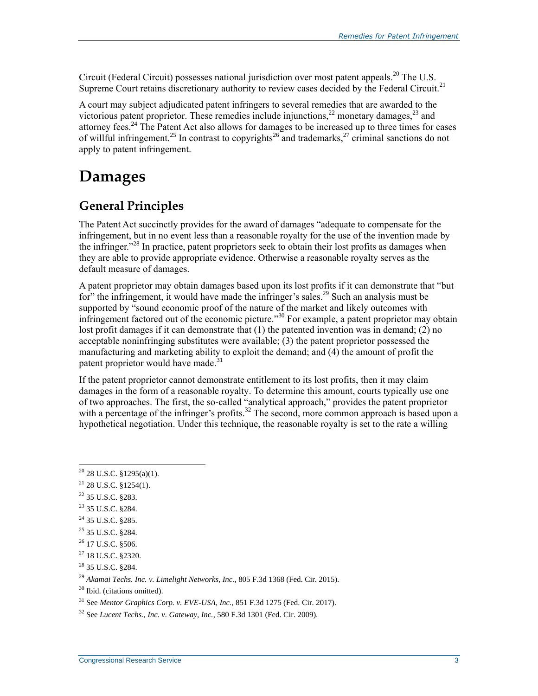Circuit (Federal Circuit) possesses national jurisdiction over most patent appeals.<sup>20</sup> The U.S. Supreme Court retains discretionary authority to review cases decided by the Federal Circuit.<sup>21</sup>

A court may subject adjudicated patent infringers to several remedies that are awarded to the victorious patent proprietor. These remedies include injunctions,<sup>22</sup> monetary damages,<sup>23</sup> and attorney fees.<sup>24</sup> The Patent Act also allows for damages to be increased up to three times for cases of willful infringement.<sup>25</sup> In contrast to copyrights<sup>26</sup> and trademarks,<sup>27</sup> criminal sanctions do not apply to patent infringement.

# **Damages**

### **General Principles**

The Patent Act succinctly provides for the award of damages "adequate to compensate for the infringement, but in no event less than a reasonable royalty for the use of the invention made by the infringer."<sup>28</sup> In practice, patent proprietors seek to obtain their lost profits as damages when they are able to provide appropriate evidence. Otherwise a reasonable royalty serves as the default measure of damages.

A patent proprietor may obtain damages based upon its lost profits if it can demonstrate that "but for" the infringement, it would have made the infringer's sales.<sup>29</sup> Such an analysis must be supported by "sound economic proof of the nature of the market and likely outcomes with infringement factored out of the economic picture."<sup>30</sup> For example, a patent proprietor may obtain lost profit damages if it can demonstrate that (1) the patented invention was in demand; (2) no acceptable noninfringing substitutes were available; (3) the patent proprietor possessed the manufacturing and marketing ability to exploit the demand; and (4) the amount of profit the patent proprietor would have made.<sup>3</sup>

If the patent proprietor cannot demonstrate entitlement to its lost profits, then it may claim damages in the form of a reasonable royalty. To determine this amount, courts typically use one of two approaches. The first, the so-called "analytical approach," provides the patent proprietor with a percentage of the infringer's profits.<sup>32</sup> The second, more common approach is based upon a hypothetical negotiation. Under this technique, the reasonable royalty is set to the rate a willing

- $21$  28 U.S.C. §1254(1).
- $^{22}$  35 U.S.C. 8283.

- <sup>23</sup> 35 U.S.C. §284.
- <sup>24</sup> 35 U.S.C. §285.
- <sup>25</sup> 35 U.S.C. §284.
- $^{26}$  17 U.S.C. 8506.

 $20$  28 U.S.C. §1295(a)(1).

<sup>27</sup> 18 U.S.C. §2320.

<sup>28</sup> 35 U.S.C. §284.

<sup>29</sup> *Akamai Techs. Inc. v. Limelight Networks, Inc.*, 805 F.3d 1368 (Fed. Cir. 2015).

<sup>30</sup> Ibid. (citations omitted).

<sup>31</sup> See *Mentor Graphics Corp. v. EVE-USA, Inc.,* 851 F.3d 1275 (Fed. Cir. 2017).

<sup>32</sup> See *Lucent Techs., Inc. v. Gateway, Inc.*, 580 F.3d 1301 (Fed. Cir. 2009).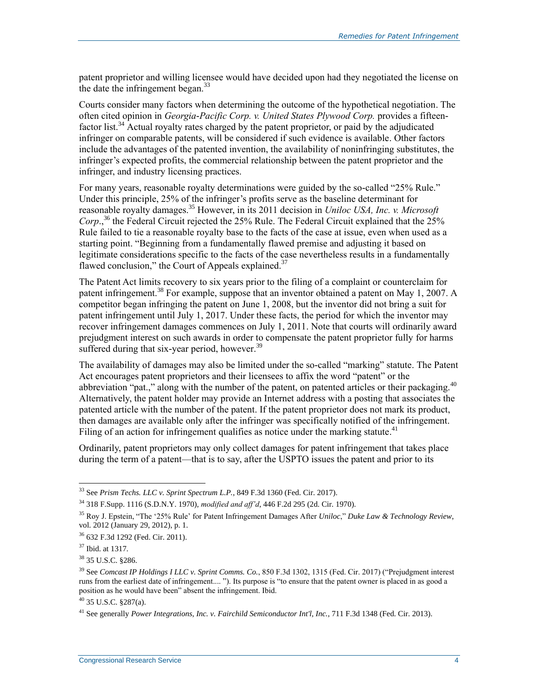patent proprietor and willing licensee would have decided upon had they negotiated the license on the date the infringement began.  $33$ 

Courts consider many factors when determining the outcome of the hypothetical negotiation. The often cited opinion in *Georgia-Pacific Corp. v. United States Plywood Corp.* provides a fifteenfactor list.<sup>34</sup> Actual royalty rates charged by the patent proprietor, or paid by the adjudicated infringer on comparable patents, will be considered if such evidence is available. Other factors include the advantages of the patented invention, the availability of noninfringing substitutes, the infringer's expected profits, the commercial relationship between the patent proprietor and the infringer, and industry licensing practices.

For many years, reasonable royalty determinations were guided by the so-called "25% Rule." Under this principle, 25% of the infringer's profits serve as the baseline determinant for reasonable royalty damages.<sup>35</sup> However, in its 2011 decision in *Uniloc USA, Inc. v. Microsoft Corp*., <sup>36</sup> the Federal Circuit rejected the 25% Rule. The Federal Circuit explained that the 25% Rule failed to tie a reasonable royalty base to the facts of the case at issue, even when used as a starting point. "Beginning from a fundamentally flawed premise and adjusting it based on legitimate considerations specific to the facts of the case nevertheless results in a fundamentally flawed conclusion," the Court of Appeals explained. $37$ 

The Patent Act limits recovery to six years prior to the filing of a complaint or counterclaim for patent infringement.<sup>38</sup> For example, suppose that an inventor obtained a patent on May 1, 2007. A competitor began infringing the patent on June 1, 2008, but the inventor did not bring a suit for patent infringement until July 1, 2017. Under these facts, the period for which the inventor may recover infringement damages commences on July 1, 2011. Note that courts will ordinarily award prejudgment interest on such awards in order to compensate the patent proprietor fully for harms suffered during that six-year period, however.<sup>39</sup>

The availability of damages may also be limited under the so-called "marking" statute. The Patent Act encourages patent proprietors and their licensees to affix the word "patent" or the abbreviation "pat.," along with the number of the patent, on patented articles or their packaging. $40$ Alternatively, the patent holder may provide an Internet address with a posting that associates the patented article with the number of the patent. If the patent proprietor does not mark its product, then damages are available only after the infringer was specifically notified of the infringement. Filing of an action for infringement qualifies as notice under the marking statute.<sup>41</sup>

Ordinarily, patent proprietors may only collect damages for patent infringement that takes place during the term of a patent—that is to say, after the USPTO issues the patent and prior to its

<sup>33</sup> See *Prism Techs. LLC v. Sprint Spectrum L.P.*, 849 F.3d 1360 (Fed. Cir. 2017).

<sup>34</sup> 318 F.Supp. 1116 (S.D.N.Y. 1970), *modified and aff'd*, 446 F.2d 295 (2d. Cir. 1970).

<sup>35</sup> Roy J. Epstein, "The '25% Rule' for Patent Infringement Damages After *Uniloc*," *Duke Law & Technology Review*, vol. 2012 (January 29, 2012), p. 1.

<sup>36</sup> 632 F.3d 1292 (Fed. Cir. 2011).

<sup>37</sup> Ibid. at 1317.

<sup>38</sup> 35 U.S.C. §286.

<sup>39</sup> See *Comcast IP Holdings I LLC v. Sprint Comms. Co.*, 850 F.3d 1302, 1315 (Fed. Cir. 2017) ("Prejudgment interest runs from the earliest date of infringement.... "). Its purpose is "to ensure that the patent owner is placed in as good a position as he would have been" absent the infringement. Ibid.

 $40$  35 U.S.C. §287(a).

<sup>41</sup> See generally *Power Integrations, Inc. v. Fairchild Semiconductor Int'l, Inc.*, 711 F.3d 1348 (Fed. Cir. 2013).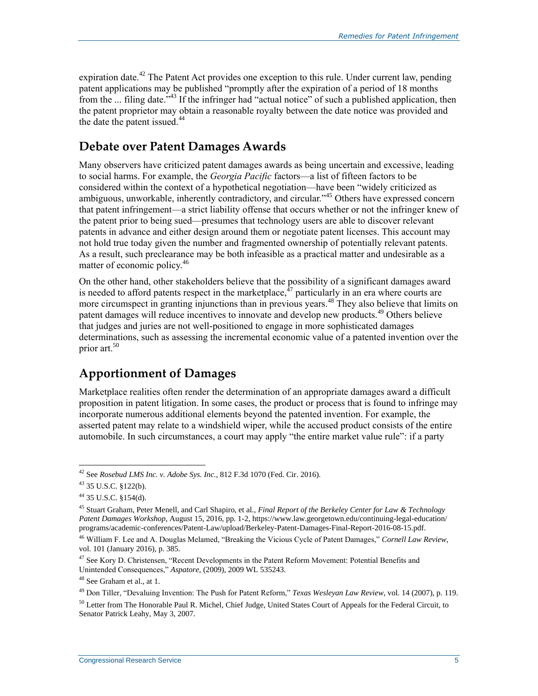expiration date.<sup>42</sup> The Patent Act provides one exception to this rule. Under current law, pending patent applications may be published "promptly after the expiration of a period of 18 months from the  $\ldots$  filing date.<sup>343</sup> If the infringer had "actual notice" of such a published application, then the patent proprietor may obtain a reasonable royalty between the date notice was provided and the date the patent issued. $44$ 

### **Debate over Patent Damages Awards**

Many observers have criticized patent damages awards as being uncertain and excessive, leading to social harms. For example, the *Georgia Pacific* factors—a list of fifteen factors to be considered within the context of a hypothetical negotiation—have been "widely criticized as ambiguous, unworkable, inherently contradictory, and circular."<sup>45</sup> Others have expressed concern that patent infringement—a strict liability offense that occurs whether or not the infringer knew of the patent prior to being sued—presumes that technology users are able to discover relevant patents in advance and either design around them or negotiate patent licenses. This account may not hold true today given the number and fragmented ownership of potentially relevant patents. As a result, such preclearance may be both infeasible as a practical matter and undesirable as a matter of economic policy.<sup>46</sup>

On the other hand, other stakeholders believe that the possibility of a significant damages award is needed to afford patents respect in the marketplace,  $^{47}$  particularly in an era where courts are more circumspect in granting injunctions than in previous years.<sup>48</sup> They also believe that limits on patent damages will reduce incentives to innovate and develop new products.<sup>49</sup> Others believe that judges and juries are not well-positioned to engage in more sophisticated damages determinations, such as assessing the incremental economic value of a patented invention over the prior art.<sup>50</sup>

### **Apportionment of Damages**

Marketplace realities often render the determination of an appropriate damages award a difficult proposition in patent litigation. In some cases, the product or process that is found to infringe may incorporate numerous additional elements beyond the patented invention. For example, the asserted patent may relate to a windshield wiper, while the accused product consists of the entire automobile. In such circumstances, a court may apply "the entire market value rule": if a party

<sup>42</sup> See *Rosebud LMS Inc. v. Adobe Sys. Inc.*, 812 F.3d 1070 (Fed. Cir. 2016).

<sup>43</sup> 35 U.S.C. §122(b).

 $44$  35 U.S.C. §154(d).

<sup>45</sup> Stuart Graham, Peter Menell, and Carl Shapiro, et al., *Final Report of the Berkeley Center for Law & Technology Patent Damages Workshop*, August 15, 2016, pp. 1-2, https://www.law.georgetown.edu/continuing-legal-education/ programs/academic-conferences/Patent-Law/upload/Berkeley-Patent-Damages-Final-Report-2016-08-15.pdf.

<sup>46</sup> William F. Lee and A. Douglas Melamed, "Breaking the Vicious Cycle of Patent Damages," *Cornell Law Review*, vol. 101 (January 2016), p. 385.

 $47$  See Kory D. Christensen, "Recent Developments in the Patent Reform Movement: Potential Benefits and Unintended Consequences," *Aspatore*, (2009), 2009 WL 535243.

<sup>&</sup>lt;sup>48</sup> See Graham et al., at 1.

<sup>49</sup> Don Tiller, "Devaluing Invention: The Push for Patent Reform," *Texas Wesleyan Law Review*, vol. 14 (2007), p. 119.

 $50$  Letter from The Honorable Paul R. Michel, Chief Judge, United States Court of Appeals for the Federal Circuit, to Senator Patrick Leahy, May 3, 2007.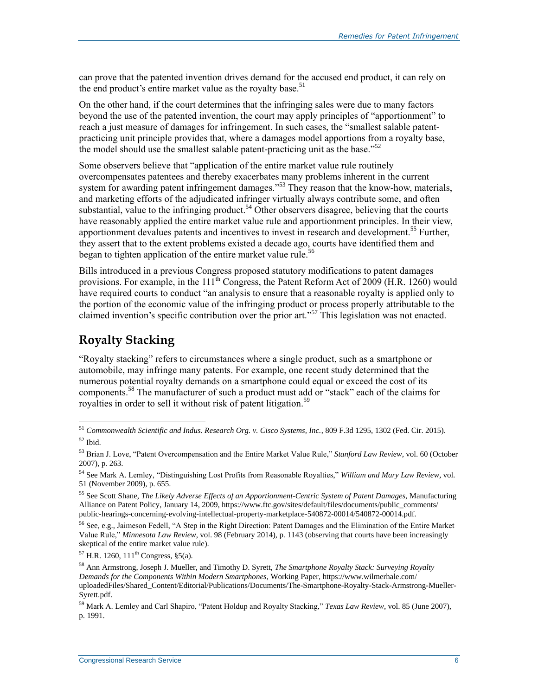can prove that the patented invention drives demand for the accused end product, it can rely on the end product's entire market value as the royalty base.<sup>51</sup>

On the other hand, if the court determines that the infringing sales were due to many factors beyond the use of the patented invention, the court may apply principles of "apportionment" to reach a just measure of damages for infringement. In such cases, the "smallest salable patentpracticing unit principle provides that, where a damages model apportions from a royalty base, the model should use the smallest salable patent-practicing unit as the base."<sup>52</sup>

Some observers believe that "application of the entire market value rule routinely overcompensates patentees and thereby exacerbates many problems inherent in the current system for awarding patent infringement damages."<sup>53</sup> They reason that the know-how, materials, and marketing efforts of the adjudicated infringer virtually always contribute some, and often substantial, value to the infringing product.<sup>54</sup> Other observers disagree, believing that the courts have reasonably applied the entire market value rule and apportionment principles. In their view, apportionment devalues patents and incentives to invest in research and development. <sup>55</sup> Further, they assert that to the extent problems existed a decade ago, courts have identified them and began to tighten application of the entire market value rule.<sup>56</sup>

Bills introduced in a previous Congress proposed statutory modifications to patent damages provisions. For example, in the  $111<sup>th</sup>$  Congress, the Patent Reform Act of 2009 [\(H.R. 1260\)](http://www.congress.gov/cgi-lis/bdquery/z?d111:H.R.1260:) would have required courts to conduct "an analysis to ensure that a reasonable royalty is applied only to the portion of the economic value of the infringing product or process properly attributable to the claimed invention's specific contribution over the prior art."<sup>57</sup> This legislation was not enacted.

### **Royalty Stacking**

 $\overline{a}$ 

"Royalty stacking" refers to circumstances where a single product, such as a smartphone or automobile, may infringe many patents. For example, one recent study determined that the numerous potential royalty demands on a smartphone could equal or exceed the cost of its components.<sup>58</sup> The manufacturer of such a product must add or "stack" each of the claims for royalties in order to sell it without risk of patent litigation.<sup>59</sup>

<sup>56</sup> See, e.g., Jaimeson Fedell, "A Step in the Right Direction: Patent Damages and the Elimination of the Entire Market Value Rule," *Minnesota Law Review*, vol. 98 (February 2014), p. 1143 (observing that courts have been increasingly skeptical of the entire market value rule).

 $57$  H.R. 1260, 111<sup>th</sup> Congress, §5(a).

<sup>51</sup> *Commonwealth Scientific and Indus. Research Org. v. Cisco Systems, Inc.*, 809 F.3d 1295, 1302 (Fed. Cir. 2015).  $52$  Ibid.

<sup>53</sup> Brian J. Love, "Patent Overcompensation and the Entire Market Value Rule," *Stanford Law Review*, vol. 60 (October 2007), p. 263.

<sup>54</sup> See Mark A. Lemley, "Distinguishing Lost Profits from Reasonable Royalties," *William and Mary Law Review*, vol. 51 (November 2009), p. 655.

<sup>55</sup> See Scott Shane, *The Likely Adverse Effects of an Apportionment-Centric System of Patent Damages*, Manufacturing Alliance on Patent Policy, January 14, 2009, https://www.ftc.gov/sites/default/files/documents/public\_comments/ public-hearings-concerning-evolving-intellectual-property-marketplace-540872-00014/540872-00014.pdf.

<sup>58</sup> Ann Armstrong, Joseph J. Mueller, and Timothy D. Syrett, *The Smartphone Royalty Stack: Surveying Royalty Demands for the Components Within Modern Smartphones*, Working Paper, https://www.wilmerhale.com/ uploadedFiles/Shared\_Content/Editorial/Publications/Documents/The-Smartphone-Royalty-Stack-Armstrong-Mueller-Syrett.pdf.

<sup>59</sup> Mark A. Lemley and Carl Shapiro, "Patent Holdup and Royalty Stacking," *Texas Law Review*, vol. 85 (June 2007), p. 1991.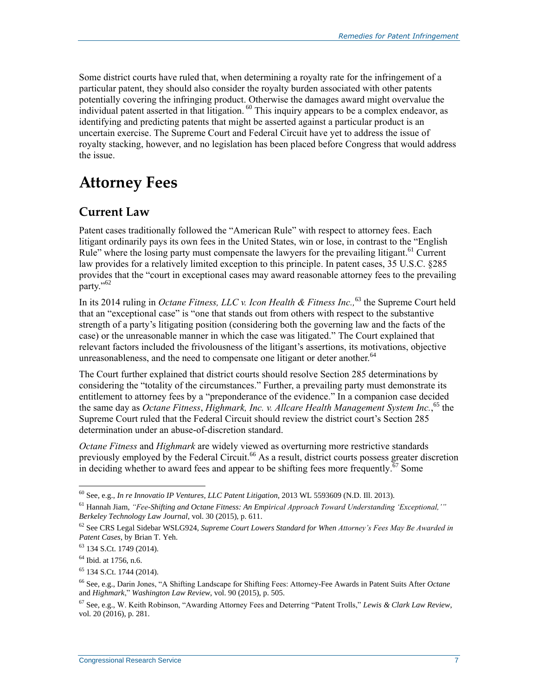Some district courts have ruled that, when determining a royalty rate for the infringement of a particular patent, they should also consider the royalty burden associated with other patents potentially covering the infringing product. Otherwise the damages award might overvalue the individual patent asserted in that litigation.<sup>60</sup> This inquiry appears to be a complex endeavor, as identifying and predicting patents that might be asserted against a particular product is an uncertain exercise. The Supreme Court and Federal Circuit have yet to address the issue of royalty stacking, however, and no legislation has been placed before Congress that would address the issue.

### **Attorney Fees**

#### **Current Law**

Patent cases traditionally followed the "American Rule" with respect to attorney fees. Each litigant ordinarily pays its own fees in the United States, win or lose, in contrast to the "English Rule" where the losing party must compensate the lawyers for the prevailing litigant.<sup>61</sup> Current law provides for a relatively limited exception to this principle. In patent cases, 35 U.S.C. §285 provides that the "court in exceptional cases may award reasonable attorney fees to the prevailing party." $62$ 

In its 2014 ruling in *Octane Fitness, LLC v. Icon Health & Fitness Inc.,* <sup>63</sup> the Supreme Court held that an "exceptional case" is "one that stands out from others with respect to the substantive strength of a party's litigating position (considering both the governing law and the facts of the case) or the unreasonable manner in which the case was litigated." The Court explained that relevant factors included the frivolousness of the litigant's assertions, its motivations, objective unreasonableness, and the need to compensate one litigant or deter another. $64$ 

The Court further explained that district courts should resolve Section 285 determinations by considering the "totality of the circumstances." Further, a prevailing party must demonstrate its entitlement to attorney fees by a "preponderance of the evidence." In a companion case decided the same day as *Octane Fitness*, *Highmark, Inc. v. Allcare Health Management System Inc.*, <sup>65</sup> the Supreme Court ruled that the Federal Circuit should review the district court's Section 285 determination under an abuse-of-discretion standard.

*Octane Fitness* and *Highmark* are widely viewed as overturning more restrictive standards previously employed by the Federal Circuit.<sup>66</sup> As a result, district courts possess greater discretion in deciding whether to award fees and appear to be shifting fees more frequently.<sup> $\bar{6}$ </sup> Some

<sup>60</sup> See, e.g., *In re Innovatio IP Ventures, LLC Patent Litigation*, 2013 WL 5593609 (N.D. Ill. 2013).

<sup>61</sup> Hannah Jiam, *"Fee-Shifting and Octane Fitness: An Empirical Approach Toward Understanding 'Exceptional,'" Berkeley Technology Law Journal*, vol. 30 (2015), p. 611.

<sup>62</sup> See CRS Legal Sidebar WSLG924, *Supreme Court Lowers Standard for When Attorney's Fees May Be Awarded in Patent Cases*, by Brian T. Yeh.

<sup>63</sup> 134 S.Ct. 1749 (2014).

<sup>&</sup>lt;sup>64</sup> Ibid. at 1756, n.6.

<sup>65</sup> 134 S.Ct. 1744 (2014).

<sup>66</sup> See, e.g., Darin Jones, "A Shifting Landscape for Shifting Fees: Attorney-Fee Awards in Patent Suits After *Octane* and *Highmark*," *Washington Law Review*, vol. 90 (2015), p. 505.

<sup>67</sup> See, e.g., W. Keith Robinson, "Awarding Attorney Fees and Deterring "Patent Trolls," *Lewis & Clark Law Review*, vol. 20 (2016), p. 281.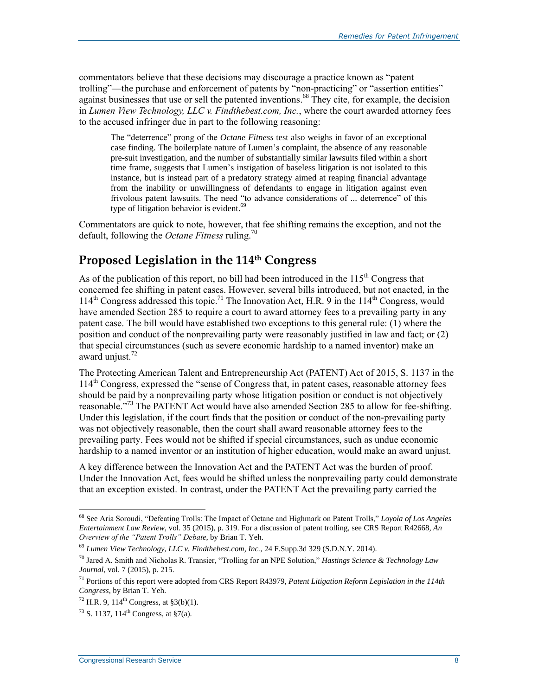commentators believe that these decisions may discourage a practice known as "patent trolling"—the purchase and enforcement of patents by "non-practicing" or "assertion entities" against businesses that use or sell the patented inventions.<sup>68</sup> They cite, for example, the decision in *Lumen View Technology, LLC v. Findthebest.com, Inc.*, where the court awarded attorney fees to the accused infringer due in part to the following reasoning:

The "deterrence" prong of the *Octane Fitness* test also weighs in favor of an exceptional case finding. The boilerplate nature of Lumen's complaint, the absence of any reasonable pre-suit investigation, and the number of substantially similar lawsuits filed within a short time frame, suggests that Lumen's instigation of baseless litigation is not isolated to this instance, but is instead part of a predatory strategy aimed at reaping financial advantage from the inability or unwillingness of defendants to engage in litigation against even frivolous patent lawsuits. The need "to advance considerations of ... deterrence" of this type of litigation behavior is evident.<sup>69</sup>

Commentators are quick to note, however, that fee shifting remains the exception, and not the default, following the *Octane Fitness* ruling.<sup>70</sup>

### **Proposed Legislation in the 114th Congress**

As of the publication of this report, no bill had been introduced in the  $115<sup>th</sup>$  Congress that concerned fee shifting in patent cases. However, several bills introduced, but not enacted, in the 114<sup>th</sup> Congress addressed this topic.<sup>71</sup> The Innovation Act, H.R. 9 in the 114<sup>th</sup> Congress, would have amended Section 285 to require a court to award attorney fees to a prevailing party in any patent case. The bill would have established two exceptions to this general rule: (1) where the position and conduct of the nonprevailing party were reasonably justified in law and fact; or (2) that special circumstances (such as severe economic hardship to a named inventor) make an award unjust. $72$ 

The Protecting American Talent and Entrepreneurship Act (PATENT) Act of 2015, [S. 1137](http://www.congress.gov/cgi-lis/bdquery/z?d114:S.1137:) in the 114th Congress, expressed the "sense of Congress that, in patent cases, reasonable attorney fees should be paid by a nonprevailing party whose litigation position or conduct is not objectively reasonable."<sup>73</sup> The PATENT Act would have also amended Section 285 to allow for fee-shifting. Under this legislation, if the court finds that the position or conduct of the non-prevailing party was not objectively reasonable, then the court shall award reasonable attorney fees to the prevailing party. Fees would not be shifted if special circumstances, such as undue economic hardship to a named inventor or an institution of higher education, would make an award unjust.

A key difference between the Innovation Act and the PATENT Act was the burden of proof. Under the Innovation Act, fees would be shifted unless the nonprevailing party could demonstrate that an exception existed. In contrast, under the PATENT Act the prevailing party carried the

<sup>68</sup> See Aria Soroudi, "Defeating Trolls: The Impact of Octane and Highmark on Patent Trolls," *Loyola of Los Angeles Entertainment Law Review*, vol. 35 (2015), p. 319. For a discussion of patent trolling, see CRS Report R42668, *An Overview of the "Patent Trolls" Debate*, by Brian T. Yeh.

<sup>69</sup> *Lumen View Technology, LLC v. Findthebest.com, Inc.*, 24 F.Supp.3d 329 (S.D.N.Y. 2014).

<sup>70</sup> Jared A. Smith and Nicholas R. Transier, "Trolling for an NPE Solution," *Hastings Science & Technology Law Journal*, vol. 7 (2015), p. 215.

<sup>71</sup> Portions of this report were adopted from CRS Report R43979, *Patent Litigation Reform Legislation in the 114th Congress*, by Brian T. Yeh.

 $72$  H.R. 9, 114<sup>th</sup> Congress, at §3(b)(1).

 $^{73}$  S. 1137, 114<sup>th</sup> Congress, at §7(a).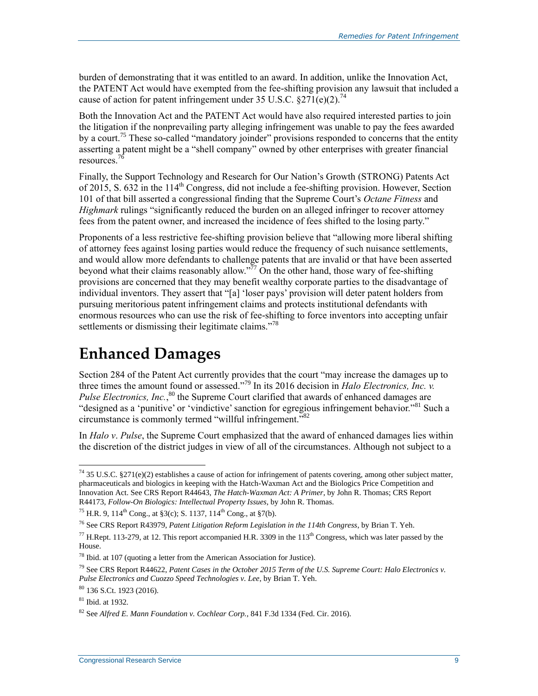burden of demonstrating that it was entitled to an award. In addition, unlike the Innovation Act, the PATENT Act would have exempted from the fee-shifting provision any lawsuit that included a cause of action for patent infringement under 35 U.S.C.  $\S 271(e)(2)$ .<sup>74</sup>

Both the Innovation Act and the PATENT Act would have also required interested parties to join the litigation if the nonprevailing party alleging infringement was unable to pay the fees awarded by a court.<sup>75</sup> These so-called "mandatory joinder" provisions responded to concerns that the entity asserting a patent might be a "shell company" owned by other enterprises with greater financial resources.<sup>7</sup>

Finally, the Support Technology and Research for Our Nation's Growth (STRONG) Patents Act of 2015, S. 632 in the  $114<sup>th</sup>$  Congress, did not include a fee-shifting provision. However, Section 101 of that bill asserted a congressional finding that the Supreme Court's *Octane Fitness* and *Highmark* rulings "significantly reduced the burden on an alleged infringer to recover attorney fees from the patent owner, and increased the incidence of fees shifted to the losing party."

Proponents of a less restrictive fee-shifting provision believe that "allowing more liberal shifting of attorney fees against losing parties would reduce the frequency of such nuisance settlements, and would allow more defendants to challenge patents that are invalid or that have been asserted beyond what their claims reasonably allow.<sup> $\frac{577}{7}$ </sup> On the other hand, those wary of fee-shifting provisions are concerned that they may benefit wealthy corporate parties to the disadvantage of individual inventors. They assert that "[a] 'loser pays' provision will deter patent holders from pursuing meritorious patent infringement claims and protects institutional defendants with enormous resources who can use the risk of fee-shifting to force inventors into accepting unfair settlements or dismissing their legitimate claims."<sup>78</sup>

# **Enhanced Damages**

Section 284 of the Patent Act currently provides that the court "may increase the damages up to three times the amount found or assessed."<sup>79</sup> In its 2016 decision in *Halo Electronics, Inc. v.*  Pulse Electronics, Inc.,<sup>80</sup> the Supreme Court clarified that awards of enhanced damages are "designed as a 'punitive' or 'vindictive' sanction for egregious infringement behavior."<sup>81</sup> Such a circumstance is commonly termed "willful infringement."<sup>82</sup>

In *Halo v*. *Pulse*, the Supreme Court emphasized that the award of enhanced damages lies within the discretion of the district judges in view of all of the circumstances. Although not subject to a

 $\overline{a}$ <sup>74</sup> 35 U.S.C. §271(e)(2) establishes a cause of action for infringement of patents covering, among other subject matter, pharmaceuticals and biologics in keeping with the Hatch-Waxman Act and the Biologics Price Competition and Innovation Act. See CRS Report R44643, *The Hatch-Waxman Act: A Primer*, by John R. Thomas; CRS Report R44173, *Follow-On Biologics: Intellectual Property Issues*, by John R. Thomas.

<sup>&</sup>lt;sup>75</sup> H.R. 9, 114<sup>th</sup> Cong., at §3(c); S. 1137, 114<sup>th</sup> Cong., at §7(b).

<sup>76</sup> See CRS Report R43979, *Patent Litigation Reform Legislation in the 114th Congress*, by Brian T. Yeh.

 $^{77}$  H.Rept. 113-279, at 12. This report accompanied H.R. 3309 in the 113<sup>th</sup> Congress, which was later passed by the House.

<sup>78</sup> Ibid. at 107 (quoting a letter from the American Association for Justice).

<sup>79</sup> See CRS Report R44622, *Patent Cases in the October 2015 Term of the U.S. Supreme Court: Halo Electronics v. Pulse Electronics and Cuozzo Speed Technologies v. Lee*, by Brian T. Yeh.

<sup>80</sup> 136 S.Ct. 1923 (2016).

<sup>81</sup> Ibid. at 1932.

<sup>82</sup> See *Alfred E. Mann Foundation v. Cochlear Corp.*, 841 F.3d 1334 (Fed. Cir. 2016).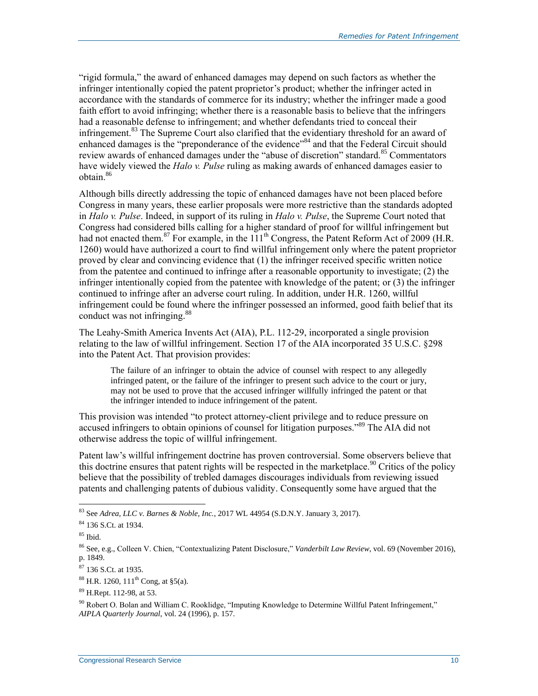"rigid formula," the award of enhanced damages may depend on such factors as whether the infringer intentionally copied the patent proprietor's product; whether the infringer acted in accordance with the standards of commerce for its industry; whether the infringer made a good faith effort to avoid infringing; whether there is a reasonable basis to believe that the infringers had a reasonable defense to infringement; and whether defendants tried to conceal their infringement.<sup>83</sup> The Supreme Court also clarified that the evidentiary threshold for an award of enhanced damages is the "preponderance of the evidence"<sup>84</sup> and that the Federal Circuit should review awards of enhanced damages under the "abuse of discretion" standard.<sup>85</sup> Commentators have widely viewed the *Halo v. Pulse* ruling as making awards of enhanced damages easier to  $o$ <sub>b</sub>tain<sup>86</sup>

Although bills directly addressing the topic of enhanced damages have not been placed before Congress in many years, these earlier proposals were more restrictive than the standards adopted in *Halo v. Pulse*. Indeed, in support of its ruling in *Halo v. Pulse*, the Supreme Court noted that Congress had considered bills calling for a higher standard of proof for willful infringement but had not enacted them.<sup>87</sup> For example, in the 111<sup>th</sup> Congress, the Patent Reform Act of 2009 (H.R. [1260\)](http://www.congress.gov/cgi-lis/bdquery/z?d111:H.R.1260:) would have authorized a court to find willful infringement only where the patent proprietor proved by clear and convincing evidence that (1) the infringer received specific written notice from the patentee and continued to infringe after a reasonable opportunity to investigate; (2) the infringer intentionally copied from the patentee with knowledge of the patent; or (3) the infringer continued to infringe after an adverse court ruling. In addition, under H.R. 1260, willful infringement could be found where the infringer possessed an informed, good faith belief that its conduct was not infringing.<sup>88</sup>

The Leahy-Smith America Invents Act (AIA), [P.L. 112-29,](http://www.congress.gov/cgi-lis/bdquery/R?d112:FLD002:@1(112+29)) incorporated a single provision relating to the law of willful infringement. Section 17 of the AIA incorporated 35 U.S.C. §298 into the Patent Act. That provision provides:

The failure of an infringer to obtain the advice of counsel with respect to any allegedly infringed patent, or the failure of the infringer to present such advice to the court or jury, may not be used to prove that the accused infringer willfully infringed the patent or that the infringer intended to induce infringement of the patent.

This provision was intended "to protect attorney-client privilege and to reduce pressure on accused infringers to obtain opinions of counsel for litigation purposes.<sup>889</sup> The AIA did not otherwise address the topic of willful infringement.

Patent law's willful infringement doctrine has proven controversial. Some observers believe that this doctrine ensures that patent rights will be respected in the marketplace.<sup>90</sup> Critics of the policy believe that the possibility of trebled damages discourages individuals from reviewing issued patents and challenging patents of dubious validity. Consequently some have argued that the

 $\overline{a}$ <sup>83</sup> See *Adrea, LLC v. Barnes & Noble, Inc.*, 2017 WL 44954 (S.D.N.Y. January 3, 2017).

<sup>84</sup> 136 S.Ct. at 1934.

 $85$  Ibid.

<sup>86</sup> See, e.g., Colleen V. Chien, "Contextualizing Patent Disclosure," *Vanderbilt Law Review*, vol. 69 (November 2016), p. 1849.

<sup>87</sup> 136 S.Ct. at 1935.

 $88$  H.R. 1260, 111<sup>th</sup> Cong, at §5(a).

<sup>89</sup> H.Rept. 112-98, at 53.

 $90$  Robert O. Bolan and William C. Rooklidge, "Imputing Knowledge to Determine Willful Patent Infringement," *AIPLA Quarterly Journal*, vol. 24 (1996), p. 157.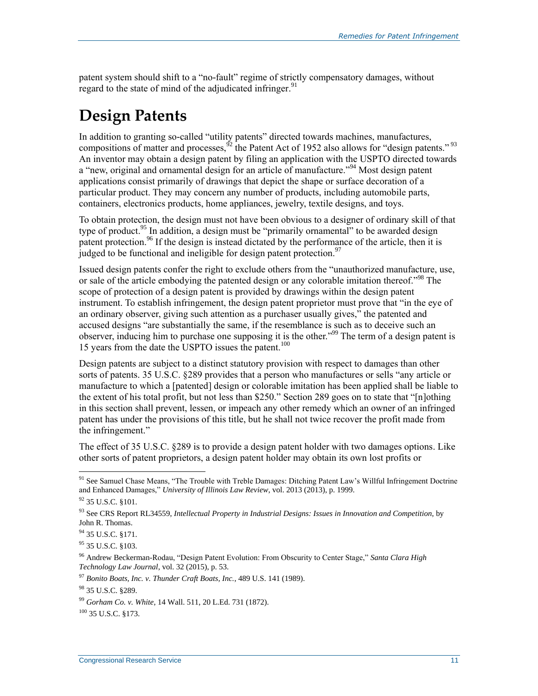patent system should shift to a "no-fault" regime of strictly compensatory damages, without regard to the state of mind of the adjudicated infringer.<sup>91</sup>

# **Design Patents**

In addition to granting so-called "utility patents" directed towards machines, manufactures, compositions of matter and processes,  $\frac{52}{2}$  the Patent Act of 1952 also allows for "design patents."  $93$ An inventor may obtain a design patent by filing an application with the USPTO directed towards a "new, original and ornamental design for an article of manufacture."<sup>94</sup> Most design patent applications consist primarily of drawings that depict the shape or surface decoration of a particular product. They may concern any number of products, including automobile parts, containers, electronics products, home appliances, jewelry, textile designs, and toys.

To obtain protection, the design must not have been obvious to a designer of ordinary skill of that type of product.<sup>95</sup> In addition, a design must be "primarily ornamental" to be awarded design patent protection.<sup>96</sup> If the design is instead dictated by the performance of the article, then it is judged to be functional and ineligible for design patent protection.<sup>97</sup>

Issued design patents confer the right to exclude others from the "unauthorized manufacture, use, or sale of the article embodying the patented design or any colorable imitation thereof."<sup>98</sup> The scope of protection of a design patent is provided by drawings within the design patent instrument. To establish infringement, the design patent proprietor must prove that "in the eye of an ordinary observer, giving such attention as a purchaser usually gives," the patented and accused designs "are substantially the same, if the resemblance is such as to deceive such an observer, inducing him to purchase one supposing it is the other."<sup>99</sup> The term of a design patent is 15 years from the date the USPTO issues the patent.<sup>100</sup>

Design patents are subject to a distinct statutory provision with respect to damages than other sorts of patents. 35 U.S.C. §289 provides that a person who manufactures or sells "any article or manufacture to which a [patented] design or colorable imitation has been applied shall be liable to the extent of his total profit, but not less than \$250." Section 289 goes on to state that "[n]othing in this section shall prevent, lessen, or impeach any other remedy which an owner of an infringed patent has under the provisions of this title, but he shall not twice recover the profit made from the infringement."

The effect of 35 U.S.C. §289 is to provide a design patent holder with two damages options. Like other sorts of patent proprietors, a design patent holder may obtain its own lost profits or

 $\overline{a}$ 

95 35 U.S.C. §103.

<sup>&</sup>lt;sup>91</sup> See Samuel Chase Means, "The Trouble with Treble Damages: Ditching Patent Law's Willful Infringement Doctrine and Enhanced Damages," *University of Illinois Law Review*, vol. 2013 (2013), p. 1999.

<sup>92 35</sup> U.S.C. §101.

<sup>93</sup> See CRS Report RL34559, *Intellectual Property in Industrial Designs: Issues in Innovation and Competition*, by John R. Thomas.

<sup>&</sup>lt;sup>94</sup> 35 U.S.C. §171.

<sup>96</sup> Andrew Beckerman-Rodau, "Design Patent Evolution: From Obscurity to Center Stage," *Santa Clara High Technology Law Journal*, vol. 32 (2015), p. 53.

<sup>97</sup> *Bonito Boats, Inc. v. Thunder Craft Boats, Inc.*, 489 U.S. 141 (1989).

<sup>98</sup> 35 U.S.C. §289.

<sup>99</sup> *Gorham Co. v. White*, 14 Wall. 511, 20 L.Ed. 731 (1872).

 $100$  35 U.S.C. 8173.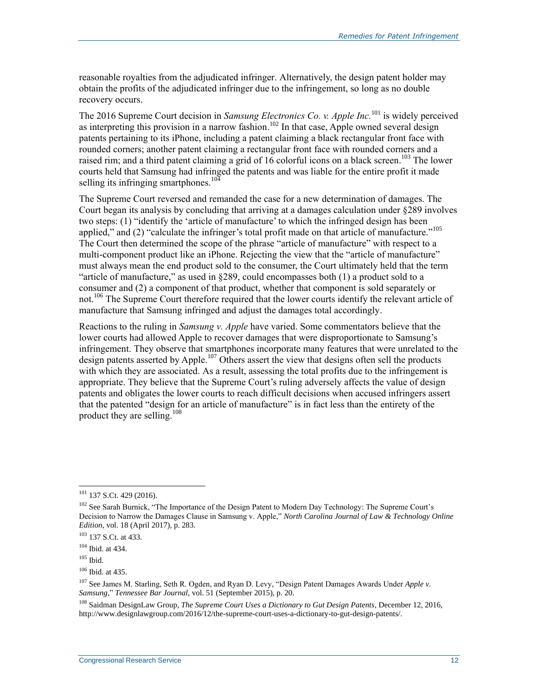reasonable royalties from the adjudicated infringer. Alternatively, the design patent holder may obtain the profits of the adjudicated infringer due to the infringement, so long as no double recovery occurs.

The 2016 Supreme Court decision in *Samsung Electronics Co. v. Apple Inc.*<sup>101</sup> is widely perceived as interpreting this provision in a narrow fashion.<sup>102</sup> In that case, Apple owned several design patents pertaining to its iPhone, including a patent claiming a black rectangular front face with rounded corners; another patent claiming a rectangular front face with rounded corners and a raised rim; and a third patent claiming a grid of 16 colorful icons on a black screen.<sup>103</sup> The lower courts held that Samsung had infringed the patents and was liable for the entire profit it made selling its infringing smartphones.<sup>104</sup>

The Supreme Court reversed and remanded the case for a new determination of damages. The Court began its analysis by concluding that arriving at a damages calculation under §289 involves two steps: (1) "identify the 'article of manufacture' to which the infringed design has been applied," and (2) "calculate the infringer's total profit made on that article of manufacture."<sup>105</sup> The Court then determined the scope of the phrase "article of manufacture" with respect to a multi-component product like an iPhone. Rejecting the view that the "article of manufacture" must always mean the end product sold to the consumer, the Court ultimately held that the term "article of manufacture," as used in §289, could encompasses both (1) a product sold to a consumer and (2) a component of that product, whether that component is sold separately or not. <sup>106</sup> The Supreme Court therefore required that the lower courts identify the relevant article of manufacture that Samsung infringed and adjust the damages total accordingly.

Reactions to the ruling in *Samsung v. Apple* have varied. Some commentators believe that the lower courts had allowed Apple to recover damages that were disproportionate to Samsung's infringement. They observe that smartphones incorporate many features that were unrelated to the design patents asserted by Apple.<sup>107</sup> Others assert the view that designs often sell the products with which they are associated. As a result, assessing the total profits due to the infringement is appropriate. They believe that the Supreme Court's ruling adversely affects the value of design patents and obligates the lower courts to reach difficult decisions when accused infringers assert that the patented "design for an article of manufacture" is in fact less than the entirety of the product they are selling.<sup>108</sup>

 $101$  137 S.Ct. 429 (2016).

<sup>&</sup>lt;sup>102</sup> See Sarah Burnick, "The Importance of the Design Patent to Modern Day Technology: The Supreme Court's Decision to Narrow the Damages Clause in Samsung v. Apple," *North Carolina Journal of Law & Technology Online Edition*, vol. 18 (April 2017), p. 283.

<sup>103</sup> 137 S.Ct. at 433.

<sup>104</sup> Ibid. at 434.

 $105$  Ibid.

<sup>106</sup> Ibid. at 435.

<sup>107</sup> See James M. Starling, Seth R. Ogden, and Ryan D. Levy, "Design Patent Damages Awards Under *Apple v. Samsung*," *Tennessee Bar Journal,* vol. 51 (September 2015), p. 20.

<sup>108</sup> Saidman DesignLaw Group, *The Supreme Court Uses a Dictionary to Gut Design Patents*, December 12, 2016, http://www.designlawgroup.com/2016/12/the-supreme-court-uses-a-dictionary-to-gut-design-patents/.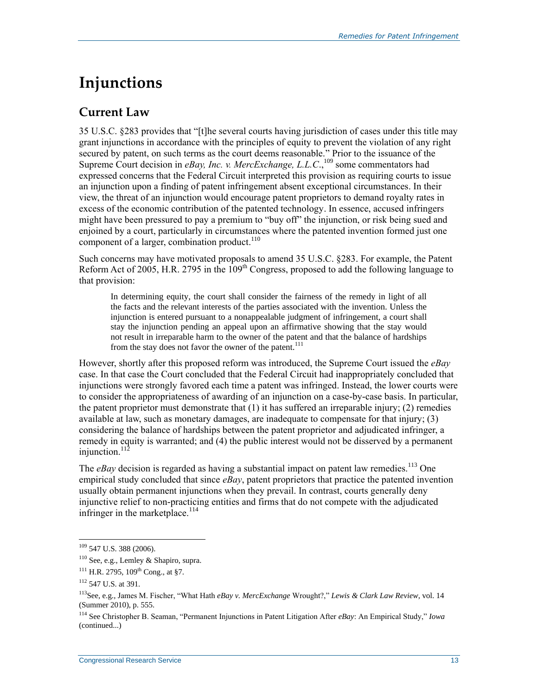# **Injunctions**

### **Current Law**

35 U.S.C. §283 provides that "[t]he several courts having jurisdiction of cases under this title may grant injunctions in accordance with the principles of equity to prevent the violation of any right secured by patent, on such terms as the court deems reasonable." Prior to the issuance of the Supreme Court decision in *eBay, Inc. v. MercExchange, L.L.C.*,<sup>109</sup> some commentators had expressed concerns that the Federal Circuit interpreted this provision as requiring courts to issue an injunction upon a finding of patent infringement absent exceptional circumstances. In their view, the threat of an injunction would encourage patent proprietors to demand royalty rates in excess of the economic contribution of the patented technology. In essence, accused infringers might have been pressured to pay a premium to "buy off" the injunction, or risk being sued and enjoined by a court, particularly in circumstances where the patented invention formed just one component of a larger, combination product.<sup>110</sup>

Such concerns may have motivated proposals to amend 35 U.S.C. §283. For example, the Patent Reform Act of 2005, H.R. 2795 in the 109<sup>th</sup> Congress, proposed to add the following language to that provision:

In determining equity, the court shall consider the fairness of the remedy in light of all the facts and the relevant interests of the parties associated with the invention. Unless the injunction is entered pursuant to a nonappealable judgment of infringement, a court shall stay the injunction pending an appeal upon an affirmative showing that the stay would not result in irreparable harm to the owner of the patent and that the balance of hardships from the stay does not favor the owner of the patent.<sup>111</sup>

However, shortly after this proposed reform was introduced, the Supreme Court issued the *eBay*  case. In that case the Court concluded that the Federal Circuit had inappropriately concluded that injunctions were strongly favored each time a patent was infringed. Instead, the lower courts were to consider the appropriateness of awarding of an injunction on a case-by-case basis. In particular, the patent proprietor must demonstrate that  $(1)$  it has suffered an irreparable injury;  $(2)$  remedies available at law, such as monetary damages, are inadequate to compensate for that injury; (3) considering the balance of hardships between the patent proprietor and adjudicated infringer, a remedy in equity is warranted; and (4) the public interest would not be disserved by a permanent injunction. $112$ 

The  $eBav$  decision is regarded as having a substantial impact on patent law remedies.<sup>113</sup> One empirical study concluded that since *eBay*, patent proprietors that practice the patented invention usually obtain permanent injunctions when they prevail. In contrast, courts generally deny injunctive relief to non-practicing entities and firms that do not compete with the adjudicated infringer in the marketplace.<sup>114</sup>

 $109$  547 U.S. 388 (2006).

<sup>110</sup> See, e.g., Lemley & Shapiro, supra.

 $111$  H.R. 2795,  $109$ <sup>th</sup> Cong., at §7.

<sup>112</sup> 547 U.S. at 391.

<sup>113</sup>See, e.g., James M. Fischer, "What Hath *eBay v. MercExchange* Wrought?," *Lewis & Clark Law Review*, vol. 14 (Summer 2010), p. 555.

<sup>114</sup> See Christopher B. Seaman, "Permanent Injunctions in Patent Litigation After *eBay*: An Empirical Study," *Iowa*  (continued...)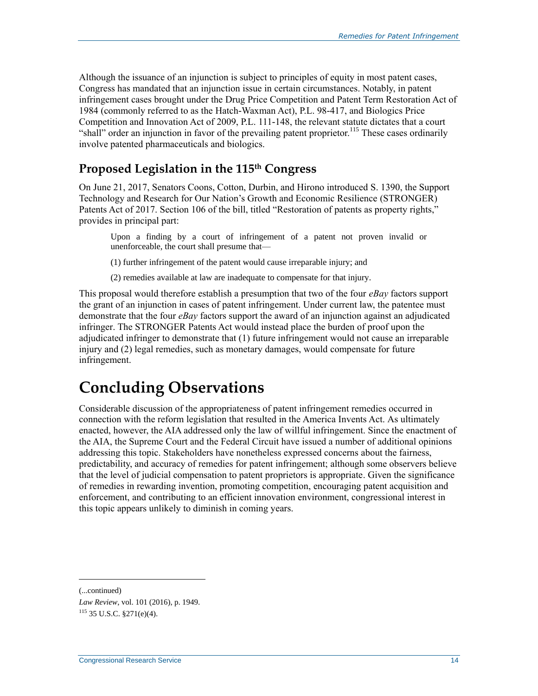Although the issuance of an injunction is subject to principles of equity in most patent cases, Congress has mandated that an injunction issue in certain circumstances. Notably, in patent infringement cases brought under the Drug Price Competition and Patent Term Restoration Act of 1984 (commonly referred to as the Hatch-Waxman Act), [P.L. 98-417,](http://www.congress.gov/cgi-lis/bdquery/R?d098:FLD002:@1(98+417)) and Biologics Price Competition and Innovation Act of 2009, P.L. 111-148, the relevant statute dictates that a court "shall" order an injunction in favor of the prevailing patent proprietor.<sup>115</sup> These cases ordinarily involve patented pharmaceuticals and biologics.

### **Proposed Legislation in the 115th Congress**

On June 21, 2017, Senators Coons, Cotton, Durbin, and Hirono introduced [S. 1390,](http://www.congress.gov/cgi-lis/bdquery/z?d115:S.1390:) the Support Technology and Research for Our Nation's Growth and Economic Resilience (STRONGER) Patents Act of 2017. Section 106 of the bill, titled "Restoration of patents as property rights," provides in principal part:

Upon a finding by a court of infringement of a patent not proven invalid or unenforceable, the court shall presume that—

(1) further infringement of the patent would cause irreparable injury; and

(2) remedies available at law are inadequate to compensate for that injury.

This proposal would therefore establish a presumption that two of the four *eBay* factors support the grant of an injunction in cases of patent infringement. Under current law, the patentee must demonstrate that the four *eBay* factors support the award of an injunction against an adjudicated infringer. The STRONGER Patents Act would instead place the burden of proof upon the adjudicated infringer to demonstrate that (1) future infringement would not cause an irreparable injury and (2) legal remedies, such as monetary damages, would compensate for future infringement.

# **Concluding Observations**

Considerable discussion of the appropriateness of patent infringement remedies occurred in connection with the reform legislation that resulted in the America Invents Act. As ultimately enacted, however, the AIA addressed only the law of willful infringement. Since the enactment of the AIA, the Supreme Court and the Federal Circuit have issued a number of additional opinions addressing this topic. Stakeholders have nonetheless expressed concerns about the fairness, predictability, and accuracy of remedies for patent infringement; although some observers believe that the level of judicial compensation to patent proprietors is appropriate. Given the significance of remedies in rewarding invention, promoting competition, encouraging patent acquisition and enforcement, and contributing to an efficient innovation environment, congressional interest in this topic appears unlikely to diminish in coming years.

<sup>(...</sup>continued)

*Law Review*, vol. 101 (2016), p. 1949.  $115$  35 U.S.C. §271(e)(4).